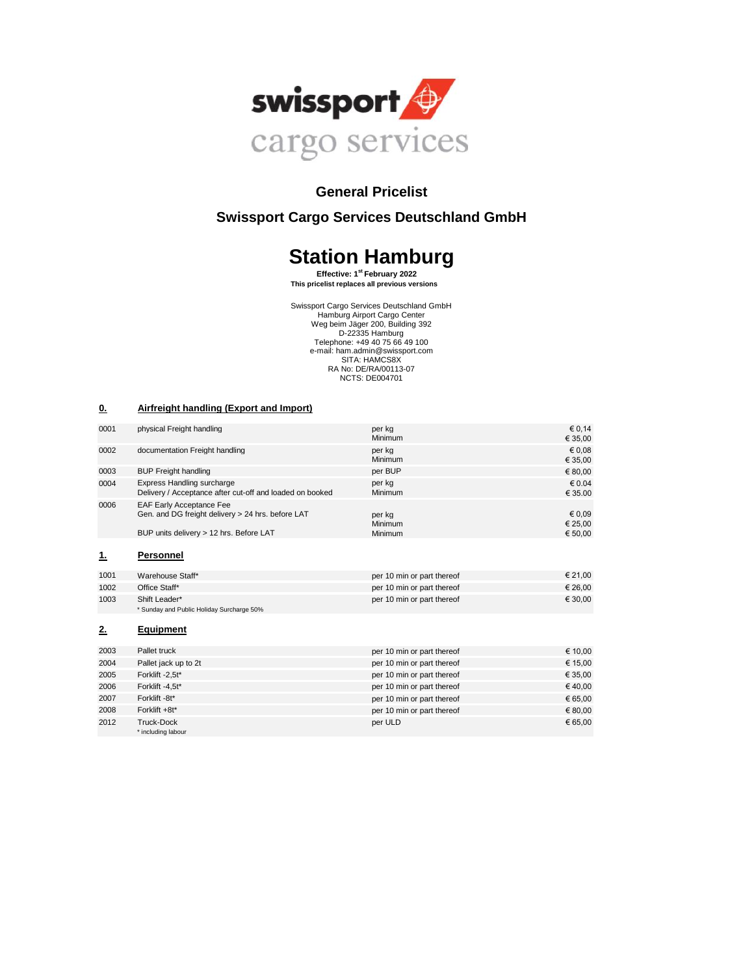

# **General Pricelist**

# **Swissport Cargo Services Deutschland GmbH**

# **Station Hamburg**

 **Effective: 1st February 2022 This pricelist replaces all previous versions**

Swissport Cargo Services Deutschland GmbH Hamburg Airport Cargo Center Weg beim Jäger 200, Building 392 D-22335 Hamburg Telephone: +49 40 75 66 49 100 e-mail: ham.admin@swissport.com SITA: HAMCS8X RA No: DE/RA/00113-07 NCTS: DE004701

#### **0. Airfreight handling (Export and Import)**

| 0001 | physical Freight handling                                                                                                       | per kg<br>Minimum            | € 0,14<br>€ 35,00            |
|------|---------------------------------------------------------------------------------------------------------------------------------|------------------------------|------------------------------|
| 0002 | documentation Freight handling                                                                                                  | per kg<br>Minimum            | € 0,08<br>€ 35,00            |
| 0003 | <b>BUP Freight handling</b>                                                                                                     | per BUP                      | € 80,00                      |
| 0004 | Express Handling surcharge<br>Delivery / Acceptance after cut-off and loaded on booked                                          | per kg<br>Minimum            | € 0.04<br>€ 35.00            |
| 0006 | <b>EAF Early Acceptance Fee</b><br>Gen. and DG freight delivery > 24 hrs. before LAT<br>BUP units delivery > 12 hrs. Before LAT | per kg<br>Minimum<br>Minimum | € 0,09<br>€ 25,00<br>€ 50,00 |
| 1.   | Personnel                                                                                                                       |                              |                              |
| 1001 | Warehouse Staff*                                                                                                                | per 10 min or part thereof   | € 21.00                      |
| 1002 | Office Staff*                                                                                                                   | per 10 min or part thereof   | € 26,00                      |
| 1003 | Shift Leader*<br>* Sunday and Public Holiday Surcharge 50%                                                                      | per 10 min or part thereof   | € 30,00                      |
| 2.   | <b>Equipment</b>                                                                                                                |                              |                              |
| 2003 | Pallet truck                                                                                                                    | per 10 min or part thereof   | € 10,00                      |
| 2004 | Pallet jack up to 2t                                                                                                            | per 10 min or part thereof   | € 15,00                      |
| 2005 | Forklift -2,5t*                                                                                                                 | per 10 min or part thereof   | € 35,00                      |
| 2006 | Forklift -4,5t*                                                                                                                 | per 10 min or part thereof   | €40,00                       |
| 2007 | Forklift -8t*                                                                                                                   | per 10 min or part thereof   | € 65,00                      |
| 2008 | Forklift +8t*                                                                                                                   | per 10 min or part thereof   | € 80,00                      |
| 2012 | <b>Truck-Dock</b><br>* including labour                                                                                         | per ULD                      | € 65,00                      |
|      |                                                                                                                                 |                              |                              |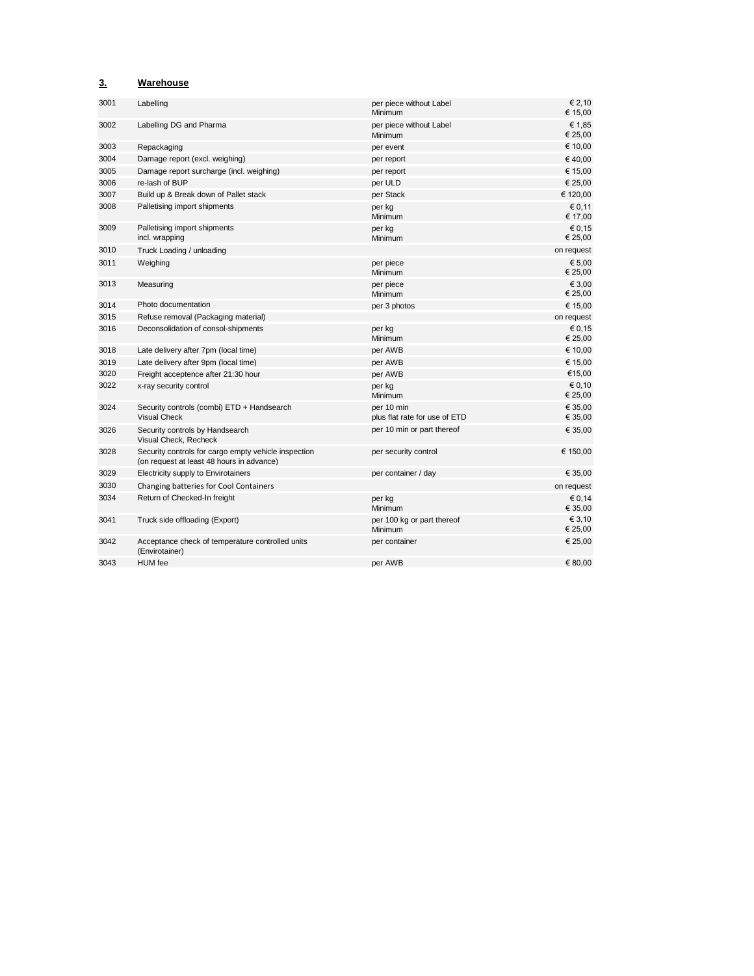### **3. Warehouse**

| 3001 | Labelling                                                                                         | per piece without Label<br>Minimum          | € 2,10<br>€ 15.00  |
|------|---------------------------------------------------------------------------------------------------|---------------------------------------------|--------------------|
| 3002 | Labelling DG and Pharma                                                                           | per piece without Label<br>Minimum          | € 1,85<br>€ 25,00  |
| 3003 | Repackaging                                                                                       | per event                                   | € 10,00            |
| 3004 | Damage report (excl. weighing)                                                                    | per report                                  | €40,00             |
| 3005 | Damage report surcharge (incl. weighing)                                                          | per report                                  | € 15,00            |
| 3006 | re-lash of BUP                                                                                    | per ULD                                     | € 25,00            |
| 3007 | Build up & Break down of Pallet stack                                                             | per Stack                                   | € 120,00           |
| 3008 | Palletising import shipments                                                                      | per kg<br>Minimum                           | € 0,11<br>€ 17,00  |
| 3009 | Palletising import shipments<br>incl. wrapping                                                    | per kg<br>Minimum                           | € 0,15<br>€ 25,00  |
| 3010 | Truck Loading / unloading                                                                         |                                             | on request         |
| 3011 | Weighing                                                                                          | per piece<br>Minimum                        | € 5,00<br>€ 25,00  |
| 3013 | Measuring                                                                                         | per piece<br>Minimum                        | € 3,00<br>€ 25,00  |
| 3014 | Photo documentation                                                                               | per 3 photos                                | € 15,00            |
| 3015 | Refuse removal (Packaging material)                                                               |                                             | on request         |
| 3016 | Deconsolidation of consol-shipments                                                               | per kg<br>Minimum                           | € 0,15<br>€ 25,00  |
| 3018 | Late delivery after 7pm (local time)                                                              | per AWB                                     | € 10,00            |
| 3019 | Late delivery after 9pm (local time)                                                              | per AWB                                     | € 15,00            |
| 3020 | Freight acceptence after 21:30 hour                                                               | per AWB                                     | €15,00             |
| 3022 | x-ray security control                                                                            | per kg<br>Minimum                           | € 0,10<br>€ 25,00  |
| 3024 | Security controls (combi) ETD + Handsearch<br><b>Visual Check</b>                                 | per 10 min<br>plus flat rate for use of ETD | € 35,00<br>€ 35,00 |
| 3026 | Security controls by Handsearch<br>Visual Check, Recheck                                          | per 10 min or part thereof                  | € 35,00            |
| 3028 | Security controls for cargo empty vehicle inspection<br>(on request at least 48 hours in advance) | per security control                        | € 150,00           |
| 3029 | Electricity supply to Envirotainers                                                               | per container / day                         | € 35,00            |
| 3030 | Changing batteries for Cool Containers                                                            |                                             | on request         |
| 3034 | Return of Checked-In freight                                                                      | per kg<br>Minimum                           | € 0,14<br>€ 35,00  |
| 3041 | Truck side offloading (Export)                                                                    | per 100 kg or part thereof<br>Minimum       | € 3,10<br>€ 25,00  |
| 3042 | Acceptance check of temperature controlled units<br>(Envirotainer)                                | per container                               | € 25,00            |
| 3043 | <b>HUM</b> fee                                                                                    | per AWB                                     | € 80.00            |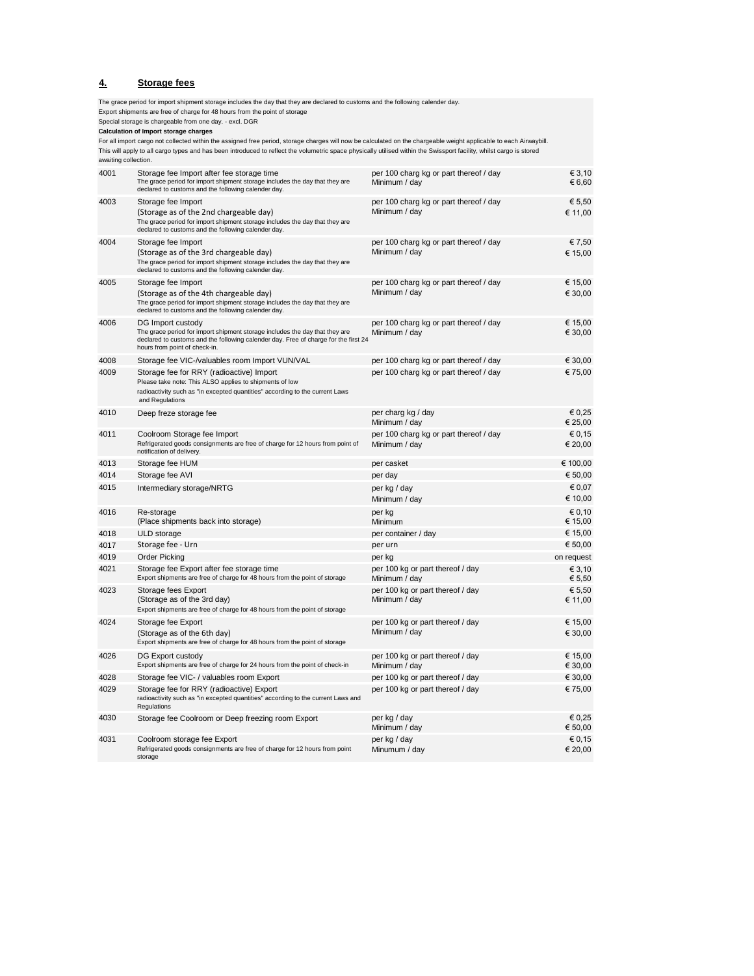#### **4. Storage fees**

Export shipments are free of charge for 48 hours from the point of storage Special storage is chargeable from one day. - excl. DGR For all import cargo not collected within the assigned free period, storage charges will now be calculated on the chargeable weight applicable to each Airwaybill. 4001 Storage fee Import after fee storage time  $\epsilon$  3,10 The grace period for import shipment storage includes the day that they are declared to customs and the following calender day. Minimum / day  $6,60$ 4003 Storage fee Import € 5,50 per 100 charg kg or part thereof / day (Storage as of the 2nd chargeable day)  $\epsilon$  11.00 The grace period for import shipment storage includes the day that they are declared to customs and the following calender day. 4004 Storage fee Import € 7,50 per 100 charg kg or part thereof / day(Storage as of the 3rd chargeable day)  $\blacksquare$  Minimum / day  $\blacksquare$  15,00 The grace period for import shipment storage includes the day that they are declared to customs and the following calender day. 4005 Storage fee Import € 15,00 per 100 charg kg or part thereof / day (Storage as of the 4th chargeable day) Minimum / day  $\overline{a}$  Minimum / day  $\overline{a}$  30,000 The grace period for import shipment storage includes the day that they are declared to customs and the following calender day. 4006 DG Import custody € 15,00 per 100 charg kg or part thereof / day The grace period for import shipment storage includes the day that they are declared to customs and the following calender day. Free of charge for the first 24 hours from point of check-in. Minimum / day  $630.00$ 4008 Storage fee VIC-/valuables room Import VUN/VAL € 30,00 4009 Storage fee for RRY (radioactive) Import example for the state of the per 100 charging part thereof / day Please take note: This ALSO applies to shipments of low radioactivity such as "in excepted quantities" according to the current Laws and Regulations 4010 Deep freze storage fee entitled and the per charg kg / day  $\epsilon$  0,25  $\epsilon$  25,00 Minimum / day 4011 Coolroom Storage fee Import per 100 charg kg or part thereof / day € 0,15 Refrigerated goods consignments are free of charge for 12 hours from point of notification of delivery. Minimum / day  $\epsilon$  20,00 4013 Storage fee HUM € 100,00 4014 Storage fee AVI per day € 50,00 4015 Intermediary storage/NRTG per kg / day € 0,07 Minimum / day  $610,00$ 4016 Re-storage experiments are set of the storage per kg  $\in$  0,10 (Place shipments back into storage) Minimum € 15,00 4018 ULD storage per container / day € 15,00 4017 Storage fee - Urn per urn € 50,00 4019 Order Picking per kg on request 4021 Storage fee Export after fee storage time  $\epsilon$  3,10<br>Export shipments are free of charge for 48 hours from the point of storage Minimum / day  $\epsilon$  5,50 Export shipments are free of charge for 48 hours from the point of storage Minimum  $\overline{\overline{I}}$  day 4023 Storage fees Export per 100 kg or part thereof / day € 5,50 (Storage as of the 3rd day)  $\epsilon$  11.00 Export shipments are free of charge for 48 hours from the point of storage 4024 Storage fee Export equal to the state of the state of the per 100 kg or part thereof / day € 15,000 € 15,000 € 15,000 € 15,000 € 15,000 € 15,000 € 15,000 € 15,000 € 15,000 € 15,000 € 15,000 € 15,000 € 15,000 € 15,00 (Storage as of the 6th day)  $\epsilon$  30,00 Export shipments are free of charge for 48 hours from the point of storage 4026 DG Export custody per 100 kg or part thereof / day € 15,00 Export shipments are free of charge for 24 hours from the point of check-in Minimum / day  $\epsilon = 30.00$ 4028 Storage fee VIC- / valuables room Export export per 100 kg or part thereof / day  $€ 30,00$ 4029 Storage fee for RRY (radioactive) Export **The applies to shipments of low per 100** kg or part thereof / day **€ 75,00** radioactivity such as "in excepted quantities" according to the current Laws and Regulations 4030 Storage fee Coolroom or Deep freezing room Export per kg / day € 0,25 Minimum / day  $650.00$  $4031$  Coolroom storage fee Export  $60,15$ per 100 charg kg or part thereof / day The grace period for import shipment storage includes the day that they are declared to customs and the following calender day. per 100 charg kg or part thereof / day per 100 charg kg or part thereof / day per casket

Minumum / day  $620.00$ 

Refrigerated goods consignments are free of charge for 12 hours from point

storage

**Calculation of Import storage charges**  This will apply to all cargo types and has been introduced to reflect the volumetric space physically utilised within the Swissport facility, whilst cargo is stored awaiting collection.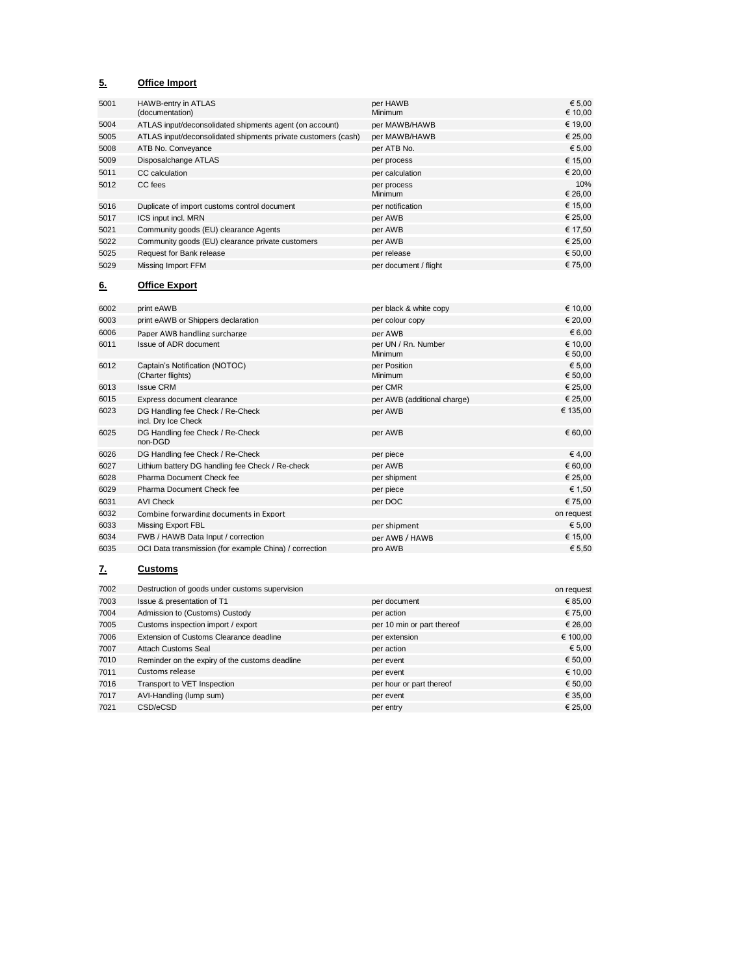# **5. Office Import**

| 5001 | <b>HAWB-entry in ATLAS</b><br>(documentation)                 | per HAWB<br><b>Minimum</b> | € 5.00<br>€ 10,00 |
|------|---------------------------------------------------------------|----------------------------|-------------------|
| 5004 | ATLAS input/deconsolidated shipments agent (on account)       | per MAWB/HAWB              | € 19,00           |
| 5005 | ATLAS input/deconsolidated shipments private customers (cash) | per MAWB/HAWB              | € 25,00           |
| 5008 | ATB No. Conveyance                                            | per ATB No.                | € 5,00            |
| 5009 | Disposalchange ATLAS                                          | per process                | € 15,00           |
| 5011 | CC calculation                                                | per calculation            | € 20,00           |
| 5012 | CC fees                                                       | per process<br>Minimum     | 10%<br>€ 26,00    |
| 5016 | Duplicate of import customs control document                  | per notification           | € 15,00           |
| 5017 | ICS input incl. MRN                                           | per AWB                    | € 25,00           |
| 5021 | Community goods (EU) clearance Agents                         | per AWB                    | € 17,50           |
| 5022 | Community goods (EU) clearance private customers              | per AWB                    | € 25,00           |
| 5025 | Request for Bank release                                      | per release                | € 50,00           |
| 5029 | Missing Import FFM                                            | per document / flight      | € 75.00           |

### **6. Office Export**

| 6002 | print eAWB                                              | per black & white copy         | € 10,00            |
|------|---------------------------------------------------------|--------------------------------|--------------------|
| 6003 | print eAWB or Shippers declaration                      | per colour copy                | € 20,00            |
| 6006 | Paper AWB handling surcharge                            | per AWB                        | € 6,00             |
| 6011 | Issue of ADR document                                   | per UN / Rn. Number<br>Minimum | € 10,00<br>€ 50,00 |
| 6012 | Captain's Notification (NOTOC)<br>(Charter flights)     | per Position<br>Minimum        | € 5,00<br>€ 50,00  |
| 6013 | <b>Issue CRM</b>                                        | per CMR                        | € 25,00            |
| 6015 | Express document clearance                              | per AWB (additional charge)    | € 25,00            |
| 6023 | DG Handling fee Check / Re-Check<br>incl. Dry Ice Check | per AWB                        | € 135,00           |
| 6025 | DG Handling fee Check / Re-Check<br>non-DGD             | per AWB                        | € 60,00            |
| 6026 | DG Handling fee Check / Re-Check                        | per piece                      | €4,00              |
| 6027 | Lithium battery DG handling fee Check / Re-check        | per AWB                        | € 60,00            |
| 6028 | Pharma Document Check fee                               | per shipment                   | € 25,00            |
| 6029 | Pharma Document Check fee                               | per piece                      | € 1,50             |
| 6031 | <b>AVI Check</b>                                        | per DOC                        | € 75,00            |
| 6032 | Combine forwarding documents in Export                  |                                | on request         |
| 6033 | Missing Export FBL                                      | per shipment                   | € 5,00             |
| 6034 | FWB / HAWB Data Input / correction                      | per AWB / HAWB                 | € 15,00            |
| 6035 | OCI Data transmission (for example China) / correction  | pro AWB                        | € 5,50             |

# **7. Customs**

| 7002 | Destruction of goods under customs supervision |                            | on request |
|------|------------------------------------------------|----------------------------|------------|
| 7003 | Issue & presentation of T1                     | per document               | € 85,00    |
| 7004 | Admission to (Customs) Custody                 | per action                 | € 75,00    |
| 7005 | Customs inspection import / export             | per 10 min or part thereof | € 26,00    |
| 7006 | Extension of Customs Clearance deadline        | per extension              | € 100,00   |
| 7007 | Attach Customs Seal                            | per action                 | € 5,00     |
| 7010 | Reminder on the expiry of the customs deadline | per event                  | € 50,00    |
| 7011 | Customs release                                | per event                  | € 10,00    |
| 7016 | Transport to VET Inspection                    | per hour or part thereof   | € 50,00    |
| 7017 | AVI-Handling (lump sum)                        | per event                  | € 35,00    |
| 7021 | CSD/eCSD                                       | per entry                  | € 25.00    |